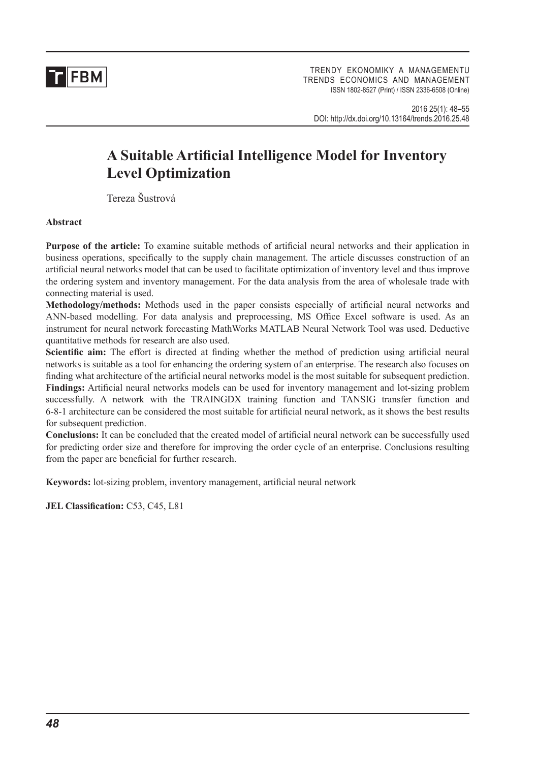**TH**FBM

TRENDY EKONOMIKY A MANAGEMENTU TRENDS ECONOMICS AND MANAGEMENT ISSN 1802-8527 (Print) / ISSN 2336-6508 (Online)

2016 25(1): 48–55 DOI: http://dx.doi.org/10.13164/trends.2016.25.48

# **A Suitable Artificial Intelligence Model for Inventory Level Optimization**

Tereza Šustrová

**Abstract**

**Purpose of the article:** To examine suitable methods of artificial neural networks and their application in business operations, specifically to the supply chain management. The article discusses construction of an artificial neural networks model that can be used to facilitate optimization of inventory level and thus improve the ordering system and inventory management. For the data analysis from the area of wholesale trade with connecting material is used.

**Methodology/methods:** Methods used in the paper consists especially of artificial neural networks and ANN-based modelling. For data analysis and preprocessing, MS Office Excel software is used. As an instrument for neural network forecasting MathWorks MATLAB Neural Network Tool was used. Deductive quantitative methods for research are also used.

**Scientific aim:** The effort is directed at finding whether the method of prediction using artificial neural networks is suitable as a tool for enhancing the ordering system of an enterprise. The research also focuses on finding what architecture of the artificial neural networks model is the most suitable for subsequent prediction. **Findings:** Artificial neural networks models can be used for inventory management and lot-sizing problem successfully. A network with the TRAINGDX training function and TANSIG transfer function and 6-8-1 architecture can be considered the most suitable for artificial neural network, as it shows the best results for subsequent prediction.

**Conclusions:** It can be concluded that the created model of artificial neural network can be successfully used for predicting order size and therefore for improving the order cycle of an enterprise. Conclusions resulting from the paper are beneficial for further research.

**Keywords:** lot-sizing problem, inventory management, artificial neural network

**JEL Classification:** C53, C45, L81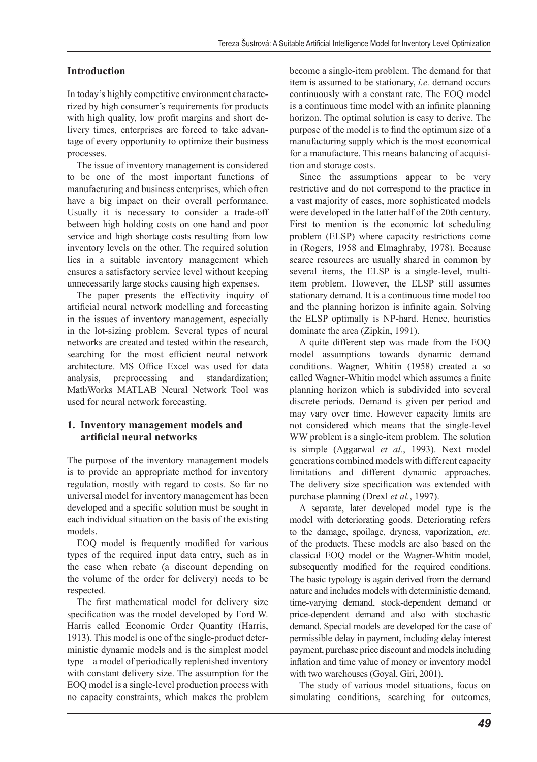## **Introduction**

In today's highly competitive environment characterized by high consumer's requirements for products with high quality, low profit margins and short delivery times, enterprises are forced to take advantage of every opportunity to optimize their business processes.

The issue of inventory management is considered to be one of the most important functions of manufacturing and business enterprises, which often have a big impact on their overall performance. Usually it is necessary to consider a trade-off between high holding costs on one hand and poor service and high shortage costs resulting from low inventory levels on the other. The required solution lies in a suitable inventory management which ensures a satisfactory service level without keeping unnecessarily large stocks causing high expenses.

The paper presents the effectivity inquiry of artificial neural network modelling and forecasting in the issues of inventory management, especially in the lot-sizing problem. Several types of neural networks are created and tested within the research, searching for the most efficient neural network architecture. MS Office Excel was used for data analysis, preprocessing and standardization; MathWorks MATLAB Neural Network Tool was used for neural network forecasting.

### **1. Inventory management models and artificial neural networks**

The purpose of the inventory management models is to provide an appropriate method for inventory regulation, mostly with regard to costs. So far no universal model for inventory management has been developed and a specific solution must be sought in each individual situation on the basis of the existing models.

EOQ model is frequently modified for various types of the required input data entry, such as in the case when rebate (a discount depending on the volume of the order for delivery) needs to be respected.

The first mathematical model for delivery size specification was the model developed by Ford W. Harris called Economic Order Quantity (Harris, 1913). This model is one of the single-product deterministic dynamic models and is the simplest model type – a model of periodically replenished inventory with constant delivery size. The assumption for the EOQ model is a single-level production process with no capacity constraints, which makes the problem become a single-item problem. The demand for that item is assumed to be stationary, *i.e.* demand occurs continuously with a constant rate. The EOQ model is a continuous time model with an infinite planning horizon. The optimal solution is easy to derive. The purpose of the model is to find the optimum size of a manufacturing supply which is the most economical for a manufacture. This means balancing of acquisition and storage costs.

Since the assumptions appear to be very restrictive and do not correspond to the practice in a vast majority of cases, more sophisticated models were developed in the latter half of the 20th century. First to mention is the economic lot scheduling problem (ELSP) where capacity restrictions come in (Rogers, 1958 and Elmaghraby, 1978). Because scarce resources are usually shared in common by several items, the ELSP is a single-level, multiitem problem. However, the ELSP still assumes stationary demand. It is a continuous time model too and the planning horizon is infinite again. Solving the ELSP optimally is NP-hard. Hence, heuristics dominate the area (Zipkin, 1991).

A quite different step was made from the EOQ model assumptions towards dynamic demand conditions. Wagner, Whitin (1958) created a so called Wagner-Whitin model which assumes a finite planning horizon which is subdivided into several discrete periods. Demand is given per period and may vary over time. However capacity limits are not considered which means that the single-level WW problem is a single-item problem. The solution is simple (Aggarwal *et al.*, 1993). Next model generations combined models with different capacity limitations and different dynamic approaches. The delivery size specification was extended with purchase planning (Drexl *et al.*, 1997).

A separate, later developed model type is the model with deteriorating goods. Deteriorating refers to the damage, spoilage, dryness, vaporization, *etc.* of the products. These models are also based on the classical EOQ model or the Wagner-Whitin model, subsequently modified for the required conditions. The basic typology is again derived from the demand nature and includes models with deterministic demand, time-varying demand, stock-dependent demand or price-dependent demand and also with stochastic demand. Special models are developed for the case of permissible delay in payment, including delay interest payment, purchase price discount and models including inflation and time value of money or inventory model with two warehouses (Goyal, Giri, 2001).

The study of various model situations, focus on simulating conditions, searching for outcomes,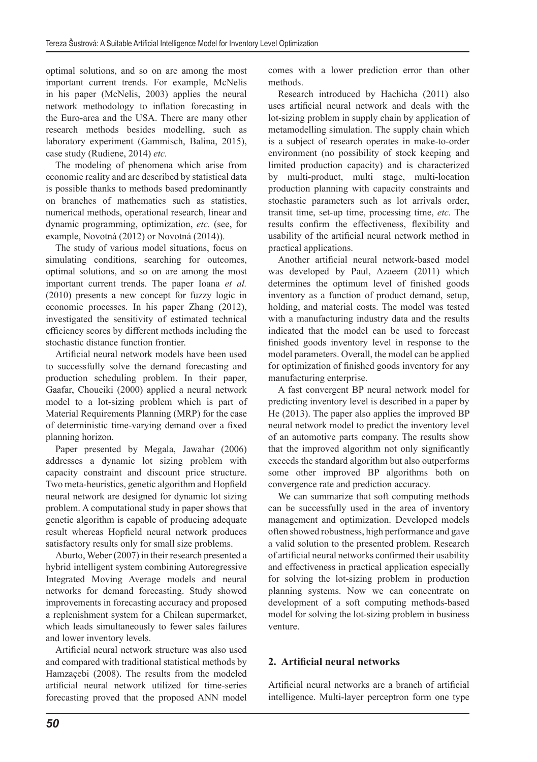optimal solutions, and so on are among the most important current trends. For example, McNelis in his paper (McNelis, 2003) applies the neural network methodology to inflation forecasting in the Euro-area and the USA. There are many other research methods besides modelling, such as laboratory experiment (Gammisch, Balina, 2015), case study (Rudiene, 2014) *etc.*

The modeling of phenomena which arise from economic reality and are described by statistical data is possible thanks to methods based predominantly on branches of mathematics such as statistics, numerical methods, operational research, linear and dynamic programming, optimization, *etc.* (see, for example, Novotná (2012) or Novotná (2014)).

The study of various model situations, focus on simulating conditions, searching for outcomes, optimal solutions, and so on are among the most important current trends. The paper Ioana *et al.* (2010) presents a new concept for fuzzy logic in economic processes. In his paper Zhang (2012), investigated the sensitivity of estimated technical efficiency scores by different methods including the stochastic distance function frontier.

Artificial neural network models have been used to successfully solve the demand forecasting and production scheduling problem. In their paper, Gaafar, Choueiki (2000) applied a neural network model to a lot-sizing problem which is part of Material Requirements Planning (MRP) for the case of deterministic time-varying demand over a fixed planning horizon.

Paper presented by Megala, Jawahar (2006) addresses a dynamic lot sizing problem with capacity constraint and discount price structure. Two meta-heuristics, genetic algorithm and Hopfield neural network are designed for dynamic lot sizing problem. A computational study in paper shows that genetic algorithm is capable of producing adequate result whereas Hopfield neural network produces satisfactory results only for small size problems.

Aburto, Weber (2007) in their research presented a hybrid intelligent system combining Autoregressive Integrated Moving Average models and neural networks for demand forecasting. Study showed improvements in forecasting accuracy and proposed a replenishment system for a Chilean supermarket, which leads simultaneously to fewer sales failures and lower inventory levels.

Artificial neural network structure was also used and compared with traditional statistical methods by Hamzaçebi (2008). The results from the modeled artificial neural network utilized for time-series forecasting proved that the proposed ANN model comes with a lower prediction error than other methods.

Research introduced by Hachicha (2011) also uses artificial neural network and deals with the lot-sizing problem in supply chain by application of metamodelling simulation. The supply chain which is a subject of research operates in make-to-order environment (no possibility of stock keeping and limited production capacity) and is characterized by multi-product, multi stage, multi-location production planning with capacity constraints and stochastic parameters such as lot arrivals order, transit time, set-up time, processing time, *etc.* The results confirm the effectiveness, flexibility and usability of the artificial neural network method in practical applications.

Another artificial neural network-based model was developed by Paul, Azaeem (2011) which determines the optimum level of finished goods inventory as a function of product demand, setup, holding, and material costs. The model was tested with a manufacturing industry data and the results indicated that the model can be used to forecast finished goods inventory level in response to the model parameters. Overall, the model can be applied for optimization of finished goods inventory for any manufacturing enterprise.

A fast convergent BP neural network model for predicting inventory level is described in a paper by He (2013). The paper also applies the improved BP neural network model to predict the inventory level of an automotive parts company. The results show that the improved algorithm not only significantly exceeds the standard algorithm but also outperforms some other improved BP algorithms both on convergence rate and prediction accuracy.

We can summarize that soft computing methods can be successfully used in the area of inventory management and optimization. Developed models often showed robustness, high performance and gave a valid solution to the presented problem. Research of artificial neural networks confirmed their usability and effectiveness in practical application especially for solving the lot-sizing problem in production planning systems. Now we can concentrate on development of a soft computing methods-based model for solving the lot-sizing problem in business venture.

## **2. Artificial neural networks**

Artificial neural networks are a branch of artificial intelligence. Multi-layer perceptron form one type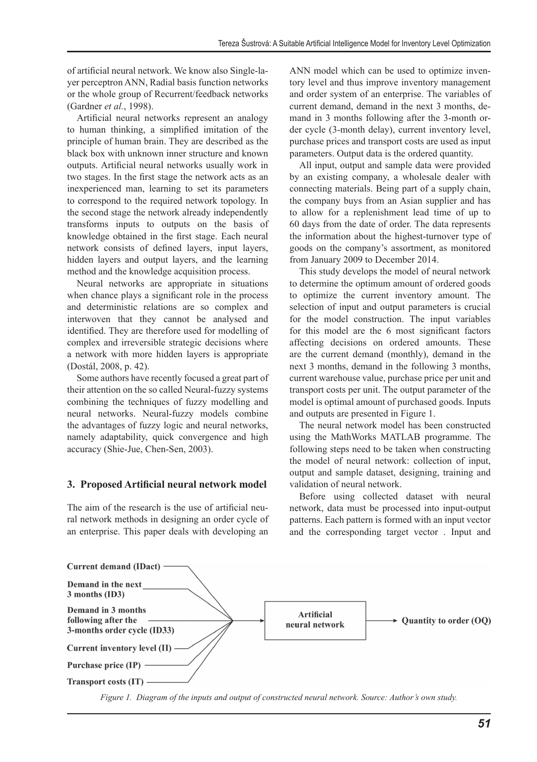of artificial neural network. We know also Single-layer perceptron ANN, Radial basis function networks or the whole group of Recurrent/feedback networks (Gardner *et al.*, 1998).

Artificial neural networks represent an analogy to human thinking, a simplified imitation of the principle of human brain. They are described as the black box with unknown inner structure and known outputs. Artificial neural networks usually work in two stages. In the first stage the network acts as an inexperienced man, learning to set its parameters to correspond to the required network topology. In the second stage the network already independently transforms inputs to outputs on the basis of knowledge obtained in the first stage. Each neural network consists of defined layers, input layers, hidden layers and output layers, and the learning method and the knowledge acquisition process.

Neural networks are appropriate in situations when chance plays a significant role in the process and deterministic relations are so complex and interwoven that they cannot be analysed and identified. They are therefore used for modelling of complex and irreversible strategic decisions where a network with more hidden layers is appropriate (Dostál, 2008, p. 42).

Some authors have recently focused a great part of their attention on the so called Neural-fuzzy systems combining the techniques of fuzzy modelling and neural networks. Neural-fuzzy models combine the advantages of fuzzy logic and neural networks, namely adaptability, quick convergence and high accuracy (Shie-Jue, Chen-Sen, 2003).

## **3. Proposed Artificial neural network model**

The aim of the research is the use of artificial neural network methods in designing an order cycle of an enterprise. This paper deals with developing an ANN model which can be used to optimize inventory level and thus improve inventory management and order system of an enterprise. The variables of current demand, demand in the next 3 months, demand in 3 months following after the 3-month order cycle (3-month delay), current inventory level, purchase prices and transport costs are used as input parameters. Output data is the ordered quantity.

All input, output and sample data were provided by an existing company, a wholesale dealer with connecting materials. Being part of a supply chain, the company buys from an Asian supplier and has to allow for a replenishment lead time of up to 60 days from the date of order. The data represents the information about the highest-turnover type of goods on the company's assortment, as monitored from January 2009 to December 2014.

This study develops the model of neural network to determine the optimum amount of ordered goods to optimize the current inventory amount. The selection of input and output parameters is crucial for the model construction. The input variables for this model are the 6 most significant factors affecting decisions on ordered amounts. These are the current demand (monthly), demand in the next 3 months, demand in the following 3 months, current warehouse value, purchase price per unit and transport costs per unit. The output parameter of the model is optimal amount of purchased goods. Inputs and outputs are presented in Figure 1.

The neural network model has been constructed using the MathWorks MATLAB programme. The following steps need to be taken when constructing the model of neural network: collection of input, output and sample dataset, designing, training and validation of neural network.

Before using collected dataset with neural network, data must be processed into input-output patterns. Each pattern is formed with an input vector and the corresponding target vector . Input and



*Figure 1. Diagram of the inputs and output of constructed neural network. Source: Author's own study.*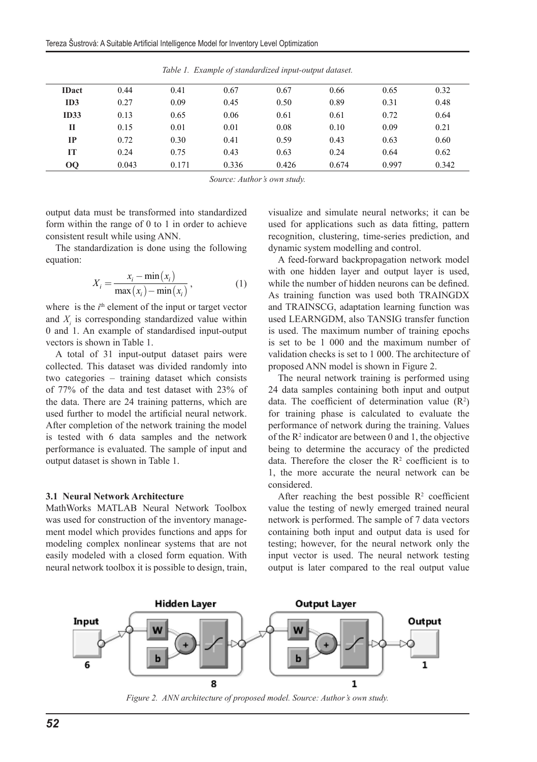| <b>IDact</b> | 0.44  | 0.41  | 0.67  | 0.67  | 0.66  | 0.65  | 0.32  |
|--------------|-------|-------|-------|-------|-------|-------|-------|
| ID3          | 0.27  | 0.09  | 0.45  | 0.50  | 0.89  | 0.31  | 0.48  |
| <b>ID33</b>  | 0.13  | 0.65  | 0.06  | 0.61  | 0.61  | 0.72  | 0.64  |
| П            | 0.15  | 0.01  | 0.01  | 0.08  | 0.10  | 0.09  | 0.21  |
| IP           | 0.72  | 0.30  | 0.41  | 0.59  | 0.43  | 0.63  | 0.60  |
| IT           | 0.24  | 0.75  | 0.43  | 0.63  | 0.24  | 0.64  | 0.62  |
| 00           | 0.043 | 0.171 | 0.336 | 0.426 | 0.674 | 0.997 | 0.342 |

*Table 1. Example of standardized input-output dataset.*

*Source: Author's own study.*

output data must be transformed into standardized form within the range of 0 to 1 in order to achieve consistent result while using ANN.

The standardization is done using the following equation:

$$
X_i = \frac{x_i - \min(x_i)}{\max(x_i) - \min(x_i)},
$$
\n(1)

where is the  $i<sup>th</sup>$  element of the input or target vector and  $X_i$  is corresponding standardized value within 0 and 1. An example of standardised input-output vectors is shown in Table 1.

A total of 31 input-output dataset pairs were collected. This dataset was divided randomly into two categories – training dataset which consists of 77% of the data and test dataset with 23% of the data. There are 24 training patterns, which are used further to model the artificial neural network. After completion of the network training the model is tested with 6 data samples and the network performance is evaluated. The sample of input and output dataset is shown in Table 1.

#### **3.1 Neural Network Architecture**

MathWorks MATLAB Neural Network Toolbox was used for construction of the inventory management model which provides functions and apps for modeling complex nonlinear systems that are not easily modeled with a closed form equation. With neural network toolbox it is possible to design, train, visualize and simulate neural networks; it can be used for applications such as data fitting, pattern recognition, clustering, time-series prediction, and dynamic system modelling and control.

A feed-forward backpropagation network model with one hidden layer and output layer is used. while the number of hidden neurons can be defined. As training function was used both TRAINGDX and TRAINSCG, adaptation learning function was used LEARNGDM, also TANSIG transfer function is used. The maximum number of training epochs is set to be 1 000 and the maximum number of validation checks is set to 1 000. The architecture of proposed ANN model is shown in Figure 2.

The neural network training is performed using 24 data samples containing both input and output data. The coefficient of determination value  $(R^2)$ for training phase is calculated to evaluate the performance of network during the training. Values of the  $\mathbb{R}^2$  indicator are between 0 and 1, the objective being to determine the accuracy of the predicted data. Therefore the closer the  $R<sup>2</sup>$  coefficient is to 1, the more accurate the neural network can be considered.

After reaching the best possible  $\mathbb{R}^2$  coefficient value the testing of newly emerged trained neural network is performed. The sample of 7 data vectors containing both input and output data is used for testing; however, for the neural network only the input vector is used. The neural network testing output is later compared to the real output value



*Figure 2. ANN architecture of proposed model. Source: Author's own study.*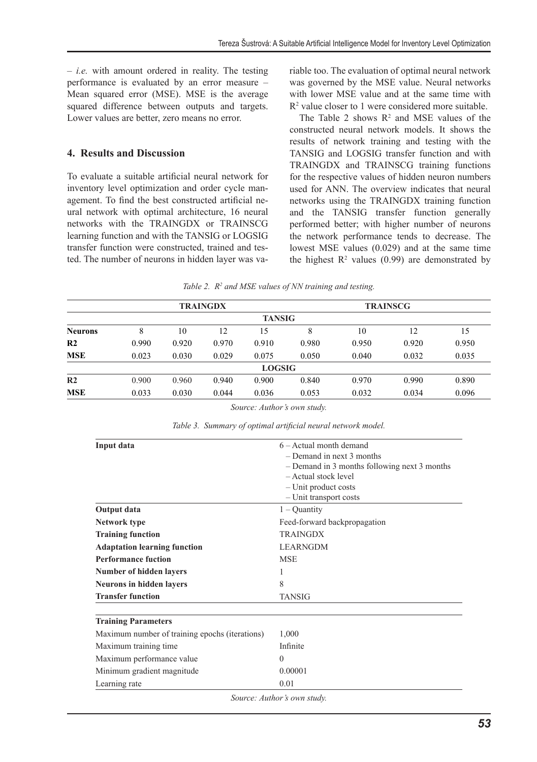$- i.e.$  with amount ordered in reality. The testing performance is evaluated by an error measure – Mean squared error (MSE). MSE is the average squared difference between outputs and targets. Lower values are better, zero means no error.

### **4. Results and Discussion**

To evaluate a suitable artificial neural network for inventory level optimization and order cycle management. To find the best constructed artificial neural network with optimal architecture, 16 neural networks with the TRAINGDX or TRAINSCG learning function and with the TANSIG or LOGSIG transfer function were constructed, trained and tested. The number of neurons in hidden layer was variable too. The evaluation of optimal neural network was governed by the MSE value. Neural networks with lower MSE value and at the same time with R2 value closer to 1 were considered more suitable.

The Table 2 shows  $\mathbb{R}^2$  and MSE values of the constructed neural network models. It shows the results of network training and testing with the TANSIG and LOGSIG transfer function and with TRAINGDX and TRAINSCG training functions for the respective values of hidden neuron numbers used for ANN. The overview indicates that neural networks using the TRAINGDX training function and the TANSIG transfer function generally performed better; with higher number of neurons the network performance tends to decrease. The lowest MSE values (0.029) and at the same time the highest  $\mathbb{R}^2$  values (0.99) are demonstrated by

Table 2.  $\mathbb{R}^2$  and MSE values of NN training and testing.

|                | <b>TRAINGDX</b> |       |       |               | <b>TRAINSCG</b> |       |       |       |
|----------------|-----------------|-------|-------|---------------|-----------------|-------|-------|-------|
|                |                 |       |       | <b>TANSIG</b> |                 |       |       |       |
| <b>Neurons</b> | 8               | 10    | 12    | 15            | 8               | 10    | 12    | 15    |
| R <sub>2</sub> | 0.990           | 0.920 | 0.970 | 0.910         | 0.980           | 0.950 | 0.920 | 0.950 |
| <b>MSE</b>     | 0.023           | 0.030 | 0.029 | 0.075         | 0.050           | 0.040 | 0.032 | 0.035 |
|                |                 |       |       | <b>LOGSIG</b> |                 |       |       |       |
| R <sub>2</sub> | 0.900           | 0.960 | 0.940 | 0.900         | 0.840           | 0.970 | 0.990 | 0.890 |
| <b>MSE</b>     | 0.033           | 0.030 | 0.044 | 0.036         | 0.053           | 0.032 | 0.034 | 0.096 |

*Source: Author's own study.*

| Input data                                     | $6 -$ Actual month demand                    |  |  |  |  |
|------------------------------------------------|----------------------------------------------|--|--|--|--|
|                                                | $-$ Demand in next 3 months                  |  |  |  |  |
|                                                | - Demand in 3 months following next 3 months |  |  |  |  |
|                                                | - Actual stock level                         |  |  |  |  |
|                                                | - Unit product costs                         |  |  |  |  |
|                                                | - Unit transport costs                       |  |  |  |  |
| Output data                                    | $1 -$ Quantity                               |  |  |  |  |
| Network type                                   | Feed-forward backpropagation                 |  |  |  |  |
| <b>Training function</b>                       | <b>TRAINGDX</b>                              |  |  |  |  |
| <b>Adaptation learning function</b>            | <b>LEARNGDM</b>                              |  |  |  |  |
| <b>Performance fuction</b>                     | <b>MSE</b>                                   |  |  |  |  |
| Number of hidden layers                        |                                              |  |  |  |  |
| <b>Neurons in hidden layers</b>                | 8                                            |  |  |  |  |
| <b>Transfer function</b>                       | TANSIG                                       |  |  |  |  |
| <b>Training Parameters</b>                     |                                              |  |  |  |  |
| Maximum number of training epochs (iterations) | 1,000                                        |  |  |  |  |
| Maximum training time                          | Infinite                                     |  |  |  |  |
| Maximum performance value                      | $\Omega$                                     |  |  |  |  |
| Minimum gradient magnitude                     | 0.00001                                      |  |  |  |  |
| Learning rate                                  | 0.01                                         |  |  |  |  |
|                                                | Source: Author's own study.                  |  |  |  |  |

| Table 3. Summary of optimal artificial neural network model. |  |  |  |
|--------------------------------------------------------------|--|--|--|
|--------------------------------------------------------------|--|--|--|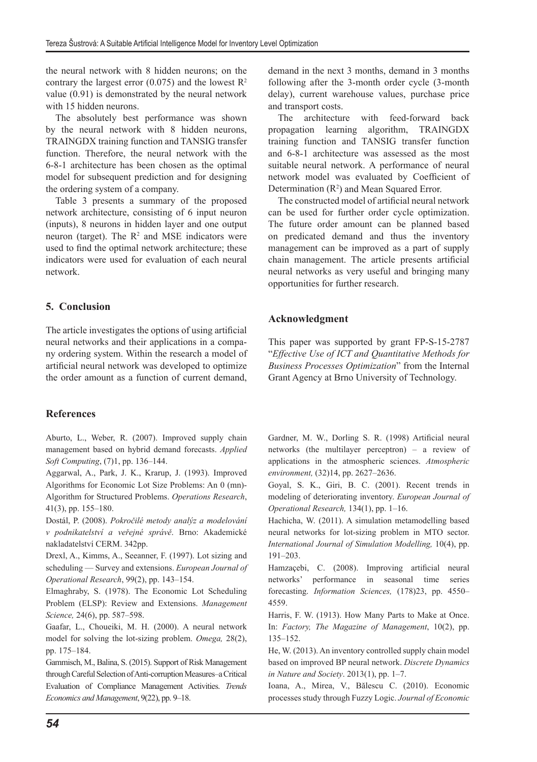the neural network with 8 hidden neurons; on the contrary the largest error  $(0.075)$  and the lowest  $\mathbb{R}^2$ value (0.91) is demonstrated by the neural network with 15 hidden neurons.

The absolutely best performance was shown by the neural network with 8 hidden neurons, TRAINGDX training function and TANSIG transfer function. Therefore, the neural network with the 6-8-1 architecture has been chosen as the optimal model for subsequent prediction and for designing the ordering system of a company.

Table 3 presents a summary of the proposed network architecture, consisting of 6 input neuron (inputs), 8 neurons in hidden layer and one output neuron (target). The  $\mathbb{R}^2$  and MSE indicators were used to find the optimal network architecture; these indicators were used for evaluation of each neural network.

## **5. Conclusion**

The article investigates the options of using artificial neural networks and their applications in a company ordering system. Within the research a model of artificial neural network was developed to optimize the order amount as a function of current demand,

## **References**

Aburto, L., Weber, R. (2007). Improved supply chain management based on hybrid demand forecasts. *Applied Soft Computing*, (7)1, pp. 136–144.

Aggarwal, A., Park, J. K., Krarup, J. (1993). Improved Algorithms for Economic Lot Size Problems: An 0 (mn)- Algorithm for Structured Problems. *Operations Research*, 41(3), pp. 155–180.

Dostál, P. (2008). *Pokročilé metody analýz a modelování v podnikatelství a veřejné správě*. Brno: Akademické nakladatelství CERM. 342pp.

Drexl, A., Kimms, A., Seeanner, F. (1997). Lot sizing and scheduling — Survey and extensions. *European Journal of Operational Research*, 99(2), pp. 143–154.

Elmaghraby, S. (1978). The Economic Lot Scheduling Problem (ELSP): Review and Extensions. *Management Science,* 24(6), pp. 587–598.

Gaafar, L., Choueiki, M. H. (2000). A neural network model for solving the lot-sizing problem. *Omega,* 28(2), pp. 175–184.

Gammisch, M., Balina, S. (2015). Support of Risk Management through Careful Selection of Anti-corruption Measures–a Critical Evaluation of Compliance Management Activities. *Trends Economics and Management*, 9(22), pp. 9–18.

demand in the next 3 months, demand in 3 months following after the 3-month order cycle (3-month delay), current warehouse values, purchase price and transport costs.

The architecture with feed-forward back propagation learning algorithm, TRAINGDX training function and TANSIG transfer function and 6-8-1 architecture was assessed as the most suitable neural network. A performance of neural network model was evaluated by Coefficient of Determination  $(R^2)$  and Mean Squared Error.

The constructed model of artificial neural network can be used for further order cycle optimization. The future order amount can be planned based on predicated demand and thus the inventory management can be improved as a part of supply chain management. The article presents artificial neural networks as very useful and bringing many opportunities for further research.

## **Acknowledgment**

This paper was supported by grant FP-S-15-2787 "*Effective Use of ICT and Quantitative Methods for Business Processes Optimization*" from the Internal Grant Agency at Brno University of Technology.

Gardner, M. W., Dorling S. R. (1998) Artificial neural networks (the multilayer perceptron) – a review of applications in the atmospheric sciences. *Atmospheric environment,* (32)14, pp. 2627–2636.

Goyal, S. K., Giri, B. C. (2001). Recent trends in modeling of deteriorating inventory. *European Journal of Operational Research,* 134(1), pp. 1–16.

Hachicha, W. (2011). A simulation metamodelling based neural networks for lot-sizing problem in MTO sector. *International Journal of Simulation Modelling,* 10(4), pp. 191–203.

Hamzaçebi, C. (2008). Improving artificial neural networks' performance in seasonal time series forecasting. *Information Sciences,* (178)23, pp. 4550– 4559.

Harris, F. W. (1913). How Many Parts to Make at Once. In: *Factory, The Magazine of Management*, 10(2), pp. 135–152.

He, W. (2013). An inventory controlled supply chain model based on improved BP neural network. *Discrete Dynamics in Nature and Society*. 2013(1), pp. 1–7.

Ioana, A., Mirea, V., Bălescu C. (2010). Economic processes study through Fuzzy Logic. *Journal of Economic*